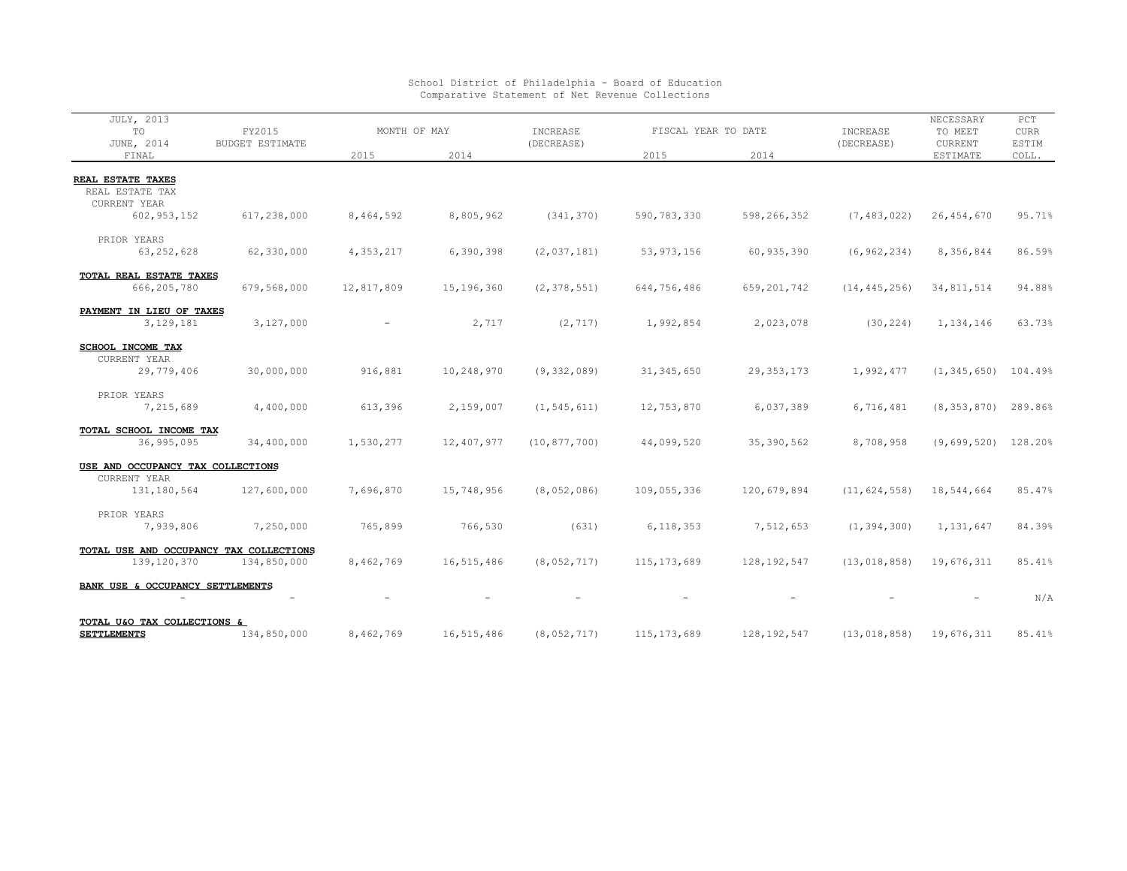| JULY, 2013<br>TO                                         | FY2015<br><b>BUDGET ESTIMATE</b> | MONTH OF MAY |            | INCREASE       | FISCAL YEAR TO DATE |               | INCREASE       | NECESSARY<br>TO MEET | PCT<br><b>CURR</b> |
|----------------------------------------------------------|----------------------------------|--------------|------------|----------------|---------------------|---------------|----------------|----------------------|--------------------|
| JUNE, 2014<br>FINAL                                      |                                  | 2015         | 2014       | (DECREASE)     | 2015                | 2014          | (DECREASE)     | CURRENT<br>ESTIMATE  | ESTIM<br>COLL.     |
| REAL ESTATE TAXES<br>REAL ESTATE TAX<br>CURRENT YEAR     |                                  |              |            |                |                     |               |                |                      |                    |
| 602, 953, 152                                            | 617,238,000                      | 8,464,592    | 8,805,962  | (341, 370)     | 590,783,330         | 598,266,352   | (7, 483, 022)  | 26, 454, 670         | 95.71%             |
| PRIOR YEARS<br>63, 252, 628                              | 62,330,000                       | 4,353,217    | 6,390,398  | (2, 037, 181)  | 53, 973, 156        | 60,935,390    | (6, 962, 234)  | 8,356,844            | 86.59%             |
| TOTAL REAL ESTATE TAXES<br>666, 205, 780                 | 679,568,000                      | 12,817,809   | 15,196,360 | (2, 378, 551)  | 644,756,486         | 659, 201, 742 | (14, 445, 256) | 34, 811, 514         | 94.88%             |
| PAYMENT IN LIEU OF TAXES<br>3, 129, 181                  | 3,127,000                        |              | 2,717      | (2, 717)       | 1,992,854           | 2,023,078     | (30, 224)      | 1,134,146            | 63.73%             |
| SCHOOL INCOME TAX<br>CURRENT YEAR<br>29,779,406          | 30,000,000                       | 916,881      | 10,248,970 | (9, 332, 089)  | 31, 345, 650        | 29, 353, 173  | 1,992,477      | (1, 345, 650)        | 104.49%            |
| PRIOR YEARS<br>7,215,689                                 | 4,400,000                        | 613,396      | 2,159,007  | (1, 545, 611)  | 12,753,870          | 6,037,389     | 6,716,481      | (8, 353, 870)        | 289.86%            |
| TOTAL SCHOOL INCOME TAX<br>36,995,095                    | 34,400,000                       | 1,530,277    | 12,407,977 | (10, 877, 700) | 44,099,520          | 35, 390, 562  | 8,708,958      | (9, 699, 520)        | 128.20%            |
| USE AND OCCUPANCY TAX COLLECTIONS<br>CURRENT YEAR        |                                  |              |            |                |                     |               |                |                      |                    |
| 131, 180, 564                                            | 127,600,000                      | 7,696,870    | 15,748,956 | (8, 052, 086)  | 109,055,336         | 120,679,894   | (11, 624, 558) | 18,544,664           | 85.47%             |
| PRIOR YEARS<br>7,939,806                                 | 7,250,000                        | 765,899      | 766,530    | (631)          | 6, 118, 353         | 7,512,653     | (1, 394, 300)  | 1,131,647            | 84.39%             |
| TOTAL USE AND OCCUPANCY TAX COLLECTIONS<br>139, 120, 370 | 134,850,000                      | 8,462,769    | 16,515,486 | (8, 052, 717)  | 115, 173, 689       | 128, 192, 547 | (13, 018, 858) | 19,676,311           | 85.41%             |
| BANK USE & OCCUPANCY SETTLEMENTS                         |                                  |              |            |                |                     |               |                |                      | N/A                |
| TOTAL U&O TAX COLLECTIONS &<br><b>SETTLEMENTS</b>        | 134,850,000                      | 8,462,769    | 16,515,486 | (8, 052, 717)  | 115, 173, 689       | 128, 192, 547 | (13, 018, 858) | 19,676,311           | 85.41%             |

School District of Philadelphia - Board of Education Comparative Statement of Net Revenue Collections